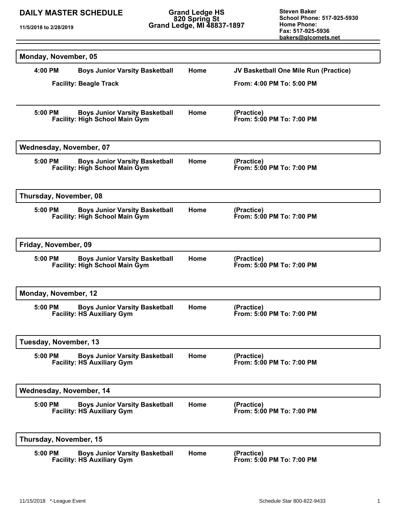**11/5/2018 to 2/28/2019**

**Grand Ledge HS 820 Spring St Grand Ledge, MI 48837-1897**

| Monday, November, 05    |                                                                                |      |                                         |
|-------------------------|--------------------------------------------------------------------------------|------|-----------------------------------------|
| 4:00 PM                 | <b>Boys Junior Varsity Basketball</b>                                          | Home | JV Basketball One Mile Run (Practice)   |
|                         | <b>Facility: Beagle Track</b>                                                  |      | From: 4:00 PM To: 5:00 PM               |
|                         |                                                                                |      |                                         |
| 5:00 PM                 | <b>Boys Junior Varsity Basketball</b><br><b>Facility: High School Main Gym</b> | Home | (Practice)<br>From: 5:00 PM To: 7:00 PM |
| Wednesday, November, 07 |                                                                                |      |                                         |
| 5:00 PM                 | <b>Boys Junior Varsity Basketball</b><br><b>Facility: High School Main Gym</b> | Home | (Practice)<br>From: 5:00 PM To: 7:00 PM |
| Thursday, November, 08  |                                                                                |      |                                         |
| $5:00$ PM               | <b>Boys Junior Varsity Basketball</b><br><b>Facility: High School Main Gym</b> | Home | (Practice)<br>From: 5:00 PM To: 7:00 PM |
| Friday, November, 09    |                                                                                |      |                                         |
| 5:00 PM                 | <b>Boys Junior Varsity Basketball</b><br><b>Facility: High School Main Gym</b> | Home | (Practice)<br>From: 5:00 PM To: 7:00 PM |
| Monday, November, 12    |                                                                                |      |                                         |
| 5:00 PM                 | <b>Boys Junior Varsity Basketball</b><br><b>Facility: HS Auxiliary Gym</b>     | Home | (Practice)<br>From: 5:00 PM To: 7:00 PM |
| Tuesday, November, 13   |                                                                                |      |                                         |
| 5:00 PM                 | <b>Boys Junior Varsity Basketball</b><br><b>Facility: HS Auxiliary Gym</b>     | Home | (Practice)<br>From: 5:00 PM To: 7:00 PM |
| Wednesday, November, 14 |                                                                                |      |                                         |
| 5:00 PM                 | <b>Boys Junior Varsity Basketball</b><br><b>Facility: HS Auxiliary Gym</b>     | Home | (Practice)<br>From: 5:00 PM To: 7:00 PM |
| Thursday, November, 15  |                                                                                |      |                                         |
| 5:00 PM                 | <b>Boys Junior Varsity Basketball</b><br><b>Facility: HS Auxiliary Gym</b>     | Home | (Practice)<br>From: 5:00 PM To: 7:00 PM |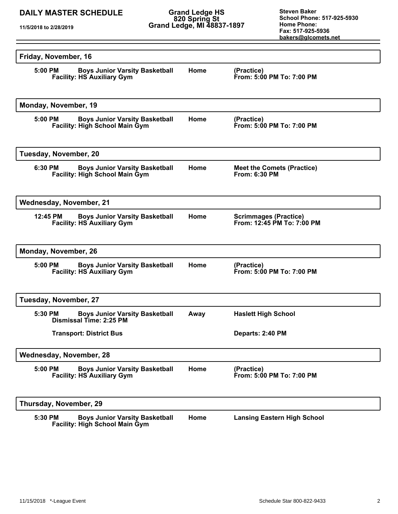**11/5/2018 to 2/28/2019**

**Grand Ledge HS 820 Spring St Grand Ledge, MI 48837-1897**

| Friday, November, 16                                                                      |      |                                                            |
|-------------------------------------------------------------------------------------------|------|------------------------------------------------------------|
| 5:00 PM<br><b>Boys Junior Varsity Basketball</b><br><b>Facility: HS Auxiliary Gym</b>     | Home | (Practice)<br>From: 5:00 PM To: 7:00 PM                    |
| Monday, November, 19                                                                      |      |                                                            |
| <b>Boys Junior Varsity Basketball</b><br>5:00 PM<br><b>Facility: High School Main Gym</b> | Home | (Practice)<br>From: 5:00 PM To: 7:00 PM                    |
| Tuesday, November, 20                                                                     |      |                                                            |
| 6:30 PM<br><b>Boys Junior Varsity Basketball</b><br><b>Facility: High School Main Gym</b> | Home | <b>Meet the Comets (Practice)</b><br><b>From: 6:30 PM</b>  |
| <b>Wednesday, November, 21</b>                                                            |      |                                                            |
| 12:45 PM<br><b>Boys Junior Varsity Basketball</b><br><b>Facility: HS Auxiliary Gym</b>    | Home | <b>Scrimmages (Practice)</b><br>From: 12:45 PM To: 7:00 PM |
| Monday, November, 26                                                                      |      |                                                            |
| 5:00 PM<br><b>Boys Junior Varsity Basketball</b><br><b>Facility: HS Auxiliary Gym</b>     | Home | (Practice)<br>From: 5:00 PM To: 7:00 PM                    |
| Tuesday, November, 27                                                                     |      |                                                            |
| <b>Boys Junior Varsity Basketball</b><br>5:30 PM<br>Dismissal Time: 2:25 PM               | Away | <b>Haslett High School</b>                                 |
| <b>Transport: District Bus</b>                                                            |      | Departs: 2:40 PM                                           |
| Wednesday, November, 28                                                                   |      |                                                            |
| 5:00 PM<br><b>Boys Junior Varsity Basketball</b><br><b>Facility: HS Auxiliary Gym</b>     | Home | (Practice)<br>From: 5:00 PM To: 7:00 PM                    |
| Thursday, November, 29                                                                    |      |                                                            |
| 5:30 PM<br><b>Boys Junior Varsity Basketball</b><br><b>Facility: High School Main Gym</b> | Home | <b>Lansing Eastern High School</b>                         |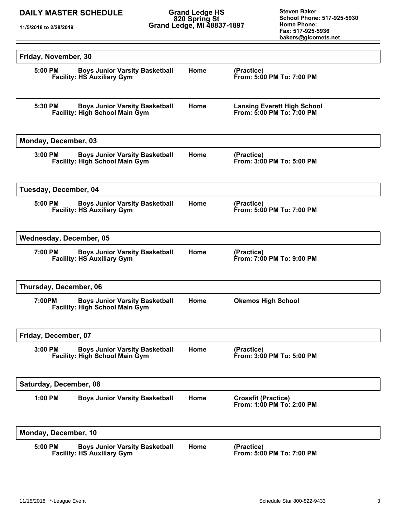**11/5/2018 to 2/28/2019**

**Grand Ledge HS 820 Spring St Grand Ledge, MI 48837-1897**

| Friday, November, 30           |                                                                                |      |                                                                 |  |
|--------------------------------|--------------------------------------------------------------------------------|------|-----------------------------------------------------------------|--|
| 5:00 PM                        | <b>Boys Junior Varsity Basketball</b><br><b>Facility: HS Auxiliary Gym</b>     | Home | (Practice)<br>From: 5:00 PM To: 7:00 PM                         |  |
| 5:30 PM                        | <b>Boys Junior Varsity Basketball</b><br><b>Facility: High School Main Gym</b> | Home | <b>Lansing Everett High School</b><br>From: 5:00 PM To: 7:00 PM |  |
| Monday, December, 03           |                                                                                |      |                                                                 |  |
| $3:00$ PM                      | <b>Boys Junior Varsity Basketball</b><br><b>Facility: High School Main Gym</b> | Home | (Practice)<br>From: 3:00 PM To: 5:00 PM                         |  |
| Tuesday, December, 04          |                                                                                |      |                                                                 |  |
| 5:00 PM                        | <b>Boys Junior Varsity Basketball</b><br><b>Facility: HS Auxiliary Gym</b>     | Home | (Practice)<br>From: 5:00 PM To: 7:00 PM                         |  |
| <b>Wednesday, December, 05</b> |                                                                                |      |                                                                 |  |
| 7:00 PM                        | <b>Boys Junior Varsity Basketball</b><br><b>Facility: HS Auxiliary Gym</b>     | Home | (Practice)<br>From: 7:00 PM To: 9:00 PM                         |  |
| Thursday, December, 06         |                                                                                |      |                                                                 |  |
| 7:00PM                         | <b>Boys Junior Varsity Basketball</b><br><b>Facility: High School Main Gym</b> | Home | <b>Okemos High School</b>                                       |  |
| Friday, December, 07           |                                                                                |      |                                                                 |  |
| 3:00 PM                        | <b>Boys Junior Varsity Basketball</b><br><b>Facility: High School Main Gym</b> | Home | (Practice)<br>From: 3:00 PM To: 5:00 PM                         |  |
| Saturday, December, 08         |                                                                                |      |                                                                 |  |
| 1:00 PM                        | <b>Boys Junior Varsity Basketball</b>                                          | Home | <b>Crossfit (Practice)</b><br>From: 1:00 PM To: 2:00 PM         |  |
| Monday, December, 10           |                                                                                |      |                                                                 |  |
| 5:00 PM                        | <b>Boys Junior Varsity Basketball</b><br><b>Facility: HS Auxiliary Gym</b>     | Home | (Practice)<br>From: 5:00 PM To: 7:00 PM                         |  |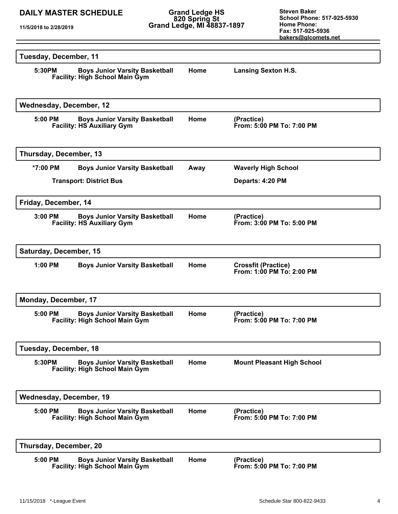**Grand Ledge HS 820 Spring St Grand Ledge, MI 48837-1897**

| Tuesday, December, 11                                                                       |      |                                                         |  |  |
|---------------------------------------------------------------------------------------------|------|---------------------------------------------------------|--|--|
| 5:30PM<br><b>Boys Junior Varsity Basketball</b><br><b>Facility: High School Main Gym</b>    | Home | <b>Lansing Sexton H.S.</b>                              |  |  |
| <b>Wednesday, December, 12</b>                                                              |      |                                                         |  |  |
| <b>Boys Junior Varsity Basketball</b><br>5:00 PM<br><b>Facility: HS Auxiliary Gym</b>       | Home | (Practice)<br>From: 5:00 PM To: 7:00 PM                 |  |  |
| Thursday, December, 13                                                                      |      |                                                         |  |  |
| *7:00 PM<br><b>Boys Junior Varsity Basketball</b>                                           | Away | <b>Waverly High School</b>                              |  |  |
| <b>Transport: District Bus</b>                                                              |      | Departs: 4:20 PM                                        |  |  |
| Friday, December, 14                                                                        |      |                                                         |  |  |
| <b>Boys Junior Varsity Basketball</b><br>$3:00$ PM<br><b>Facility: HS Auxiliary Gym</b>     | Home | (Practice)<br>From: 3:00 PM To: 5:00 PM                 |  |  |
| Saturday, December, 15                                                                      |      |                                                         |  |  |
| $1:00$ PM<br><b>Boys Junior Varsity Basketball</b>                                          | Home | <b>Crossfit (Practice)</b><br>From: 1:00 PM To: 2:00 PM |  |  |
| Monday, December, 17                                                                        |      |                                                         |  |  |
| <b>Boys Junior Varsity Basketball</b><br>$5:00$ PM<br><b>Facility: High School Main Gym</b> | Home | (Practice)<br>From: 5:00 PM To: 7:00 PM                 |  |  |
| Tuesday, December, 18                                                                       |      |                                                         |  |  |
| 5:30PM<br><b>Boys Junior Varsity Basketball</b><br>Facility: High School Main Gym           | Home | <b>Mount Pleasant High School</b>                       |  |  |
| <b>Wednesday, December, 19</b>                                                              |      |                                                         |  |  |
| <b>Boys Junior Varsity Basketball</b><br>5:00 PM<br><b>Facility: High School Main Gym</b>   | Home | (Practice)<br>From: 5:00 PM To: 7:00 PM                 |  |  |
| Thursday, December, 20                                                                      |      |                                                         |  |  |
| 5:00 PM<br><b>Boys Junior Varsity Basketball</b><br><b>Facility: High School Main Gym</b>   | Home | (Practice)<br>From: 5:00 PM To: 7:00 PM                 |  |  |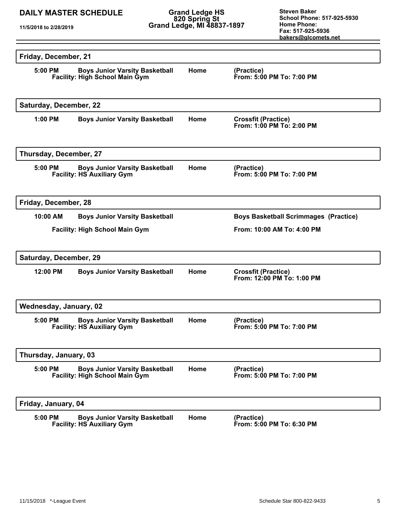**Grand Ledge HS 820 Spring St Grand Ledge, MI 48837-1897**

| Friday, December, 21   |                                                                                |      |                                                          |  |  |
|------------------------|--------------------------------------------------------------------------------|------|----------------------------------------------------------|--|--|
| 5:00 PM                | <b>Boys Junior Varsity Basketball</b><br>Facility: High School Main Gym        | Home | (Practice)<br>From: 5:00 PM To: 7:00 PM                  |  |  |
| Saturday, December, 22 |                                                                                |      |                                                          |  |  |
| 1:00 PM                | <b>Boys Junior Varsity Basketball</b>                                          | Home | <b>Crossfit (Practice)</b><br>From: 1:00 PM To: 2:00 PM  |  |  |
| Thursday, December, 27 |                                                                                |      |                                                          |  |  |
| 5:00 PM                | <b>Boys Junior Varsity Basketball</b><br><b>Facility: HS Auxiliary Gym</b>     | Home | (Practice)<br>From: 5:00 PM To: 7:00 PM                  |  |  |
| Friday, December, 28   |                                                                                |      |                                                          |  |  |
| 10:00 AM               | <b>Boys Junior Varsity Basketball</b>                                          |      | <b>Boys Basketball Scrimmages (Practice)</b>             |  |  |
|                        | <b>Facility: High School Main Gym</b>                                          |      | From: 10:00 AM To: 4:00 PM                               |  |  |
| Saturday, December, 29 |                                                                                |      |                                                          |  |  |
| 12:00 PM               | <b>Boys Junior Varsity Basketball</b>                                          | Home | <b>Crossfit (Practice)</b><br>From: 12:00 PM To: 1:00 PM |  |  |
|                        | Wednesday, January, 02                                                         |      |                                                          |  |  |
| $5:00$ PM              | <b>Boys Junior Varsity Basketball</b><br><b>Facility: HS Auxiliary Gym</b>     | Home | (Practice)<br>From: 5:00 PM To: 7:00 PM                  |  |  |
| Thursday, January, 03  |                                                                                |      |                                                          |  |  |
| 5:00 PM                | <b>Boys Junior Varsity Basketball</b><br><b>Facility: High School Main Gym</b> | Home | (Practice)<br>From: 5:00 PM To: 7:00 PM                  |  |  |
| Friday, January, 04    |                                                                                |      |                                                          |  |  |
| 5:00 PM                | <b>Boys Junior Varsity Basketball</b><br><b>Facility: HS Auxiliary Gym</b>     | Home | (Practice)<br>From: 5:00 PM To: 6:30 PM                  |  |  |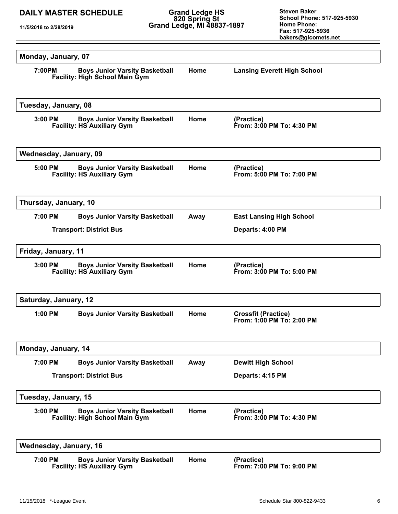**Grand Ledge HS 820 Spring St Grand Ledge, MI 48837-1897**

| Monday, January, 07                                                                         |      |                                                         |
|---------------------------------------------------------------------------------------------|------|---------------------------------------------------------|
| 7:00PM<br><b>Boys Junior Varsity Basketball</b><br><b>Facility: High School Main Gym</b>    | Home | <b>Lansing Everett High School</b>                      |
| Tuesday, January, 08                                                                        |      |                                                         |
| <b>Boys Junior Varsity Basketball</b><br>3:00 PM<br><b>Facility: HS Auxiliary Gym</b>       | Home | (Practice)<br>From: 3:00 PM To: 4:30 PM                 |
| Wednesday, January, 09                                                                      |      |                                                         |
| <b>Boys Junior Varsity Basketball</b><br>5:00 PM<br><b>Facility: HS Auxiliary Gym</b>       | Home | (Practice)<br>From: 5:00 PM To: 7:00 PM                 |
| Thursday, January, 10                                                                       |      |                                                         |
| 7:00 PM<br><b>Boys Junior Varsity Basketball</b>                                            | Away | <b>East Lansing High School</b>                         |
| <b>Transport: District Bus</b>                                                              |      | Departs: 4:00 PM                                        |
| Friday, January, 11                                                                         |      |                                                         |
| $3:00$ PM<br><b>Boys Junior Varsity Basketball</b><br><b>Facility: HS Auxiliary Gym</b>     | Home | (Practice)<br>From: 3:00 PM To: 5:00 PM                 |
| Saturday, January, 12                                                                       |      |                                                         |
| $1:00$ PM<br><b>Boys Junior Varsity Basketball</b>                                          | Home | <b>Crossfit (Practice)</b><br>From: 1:00 PM To: 2:00 PM |
| Monday, January, 14                                                                         |      |                                                         |
| 7:00 PM<br><b>Boys Junior Varsity Basketball</b>                                            | Away | <b>Dewitt High School</b>                               |
| <b>Transport: District Bus</b>                                                              |      | Departs: 4:15 PM                                        |
| Tuesday, January, 15                                                                        |      |                                                         |
| $3:00$ PM<br><b>Boys Junior Varsity Basketball</b><br><b>Facility: High School Main Gym</b> | Home | (Practice)<br>From: 3:00 PM To: 4:30 PM                 |
| Wednesday, January, 16                                                                      |      |                                                         |
| 7:00 PM<br><b>Boys Junior Varsity Basketball</b><br><b>Facility: HS Auxiliary Gym</b>       | Home | (Practice)<br>From: 7:00 PM To: 9:00 PM                 |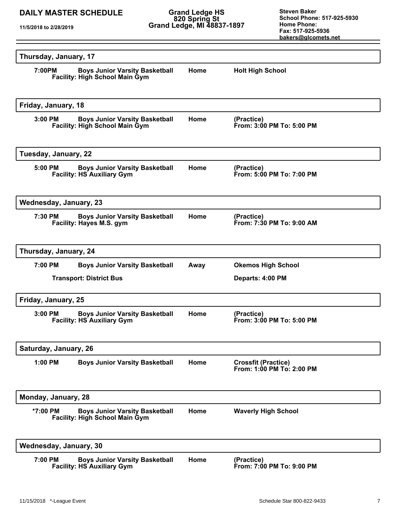**Grand Ledge HS 820 Spring St Grand Ledge, MI 48837-1897**

| Thursday, January, 17                                                                      |      |                                                         |  |  |  |
|--------------------------------------------------------------------------------------------|------|---------------------------------------------------------|--|--|--|
| <b>Boys Junior Varsity Basketball</b><br>7:00PM<br><b>Facility: High School Main Gym</b>   | Home | <b>Holt High School</b>                                 |  |  |  |
| Friday, January, 18                                                                        |      |                                                         |  |  |  |
| 3:00 PM<br><b>Boys Junior Varsity Basketball</b><br><b>Facility: High School Main Gym</b>  | Home | (Practice)<br>From: 3:00 PM To: 5:00 PM                 |  |  |  |
| Tuesday, January, 22                                                                       |      |                                                         |  |  |  |
| 5:00 PM<br><b>Boys Junior Varsity Basketball</b><br><b>Facility: HS Auxiliary Gym</b>      | Home | (Practice)<br>From: 5:00 PM To: 7:00 PM                 |  |  |  |
| Wednesday, January, 23                                                                     |      |                                                         |  |  |  |
| 7:30 PM<br><b>Boys Junior Varsity Basketball</b><br>Facility: Hayes M.S. gym               | Home | (Practice)<br>From: 7:30 PM To: 9:00 AM                 |  |  |  |
| Thursday, January, 24                                                                      |      |                                                         |  |  |  |
| 7:00 PM<br><b>Boys Junior Varsity Basketball</b>                                           | Away | <b>Okemos High School</b>                               |  |  |  |
| <b>Transport: District Bus</b>                                                             |      | Departs: 4:00 PM                                        |  |  |  |
| Friday, January, 25                                                                        |      |                                                         |  |  |  |
| 3:00 PM<br><b>Boys Junior Varsity Basketball</b><br><b>Facility: HS Auxiliary Gym</b>      | Home | (Practice)<br>From: 3:00 PM To: 5:00 PM                 |  |  |  |
| Saturday, January, 26                                                                      |      |                                                         |  |  |  |
| 1:00 PM<br><b>Boys Junior Varsity Basketball</b>                                           | Home | <b>Crossfit (Practice)</b><br>From: 1:00 PM To: 2:00 PM |  |  |  |
| Monday, January, 28                                                                        |      |                                                         |  |  |  |
| *7:00 PM<br><b>Boys Junior Varsity Basketball</b><br><b>Facility: High School Main Gym</b> | Home | <b>Waverly High School</b>                              |  |  |  |
| Wednesday, January, 30                                                                     |      |                                                         |  |  |  |
| <b>Boys Junior Varsity Basketball</b><br>7:00 PM<br><b>Facility: HS Auxiliary Gym</b>      | Home | (Practice)<br>From: 7:00 PM To: 9:00 PM                 |  |  |  |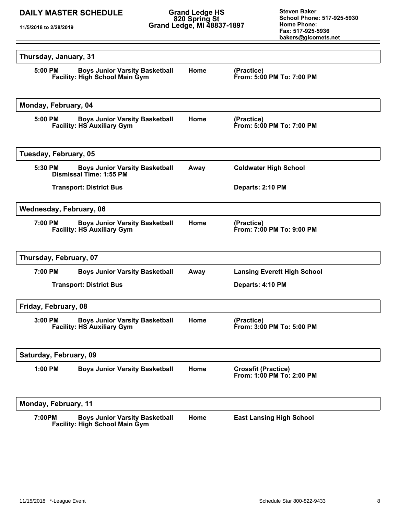**Grand Ledge HS 820 Spring St Grand Ledge, MI 48837-1897**

| Thursday, January, 31          |                                                                                |      |                                                         |
|--------------------------------|--------------------------------------------------------------------------------|------|---------------------------------------------------------|
| 5:00 PM                        | <b>Boys Junior Varsity Basketball</b><br><b>Facility: High School Main Gym</b> | Home | (Practice)<br>From: 5:00 PM To: 7:00 PM                 |
| Monday, February, 04           |                                                                                |      |                                                         |
| 5:00 PM                        | <b>Boys Junior Varsity Basketball</b><br><b>Facility: HS Auxiliary Gym</b>     | Home | (Practice)<br>From: 5:00 PM To: 7:00 PM                 |
| Tuesday, February, 05          |                                                                                |      |                                                         |
| 5:30 PM                        | <b>Boys Junior Varsity Basketball</b><br>Dismissal Time: 1:55 PM               | Away | <b>Coldwater High School</b>                            |
|                                | <b>Transport: District Bus</b>                                                 |      | Departs: 2:10 PM                                        |
| Wednesday, February, 06        |                                                                                |      |                                                         |
| 7:00 PM                        | <b>Boys Junior Varsity Basketball</b><br><b>Facility: HS Auxiliary Gym</b>     | Home | (Practice)<br>From: 7:00 PM To: 9:00 PM                 |
| Thursday, February, 07         |                                                                                |      |                                                         |
| 7:00 PM                        | <b>Boys Junior Varsity Basketball</b>                                          | Away | <b>Lansing Everett High School</b>                      |
| <b>Transport: District Bus</b> |                                                                                |      | Departs: 4:10 PM                                        |
| Friday, February, 08           |                                                                                |      |                                                         |
| $3:00$ PM                      | <b>Boys Junior Varsity Basketball</b><br><b>Facility: HS Auxiliary Gym</b>     | Home | (Practice)<br>From: 3:00 PM To: 5:00 PM                 |
| Saturday, February, 09         |                                                                                |      |                                                         |
| 1:00 PM                        | <b>Boys Junior Varsity Basketball</b>                                          | Home | <b>Crossfit (Practice)</b><br>From: 1:00 PM To: 2:00 PM |
| Monday, February, 11           |                                                                                |      |                                                         |
| 7:00PM                         | <b>Boys Junior Varsity Basketball</b><br><b>Facility: High School Main Gym</b> | Home | <b>East Lansing High School</b>                         |